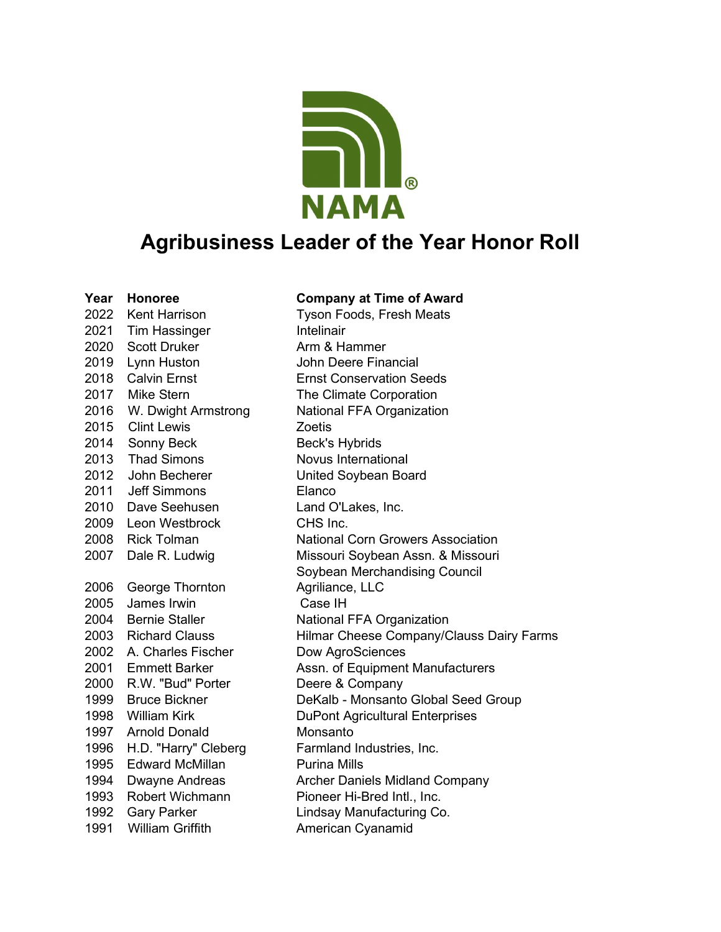

## Agribusiness Leader of the Year Honor Roll

## Year Honoree Company at Time of Award

2022 Kent Harrison Tyson Foods, Fresh Meats 2021 Tim Hassinger Intelinair 2020 Scott Druker **Arm & Hammer** 2019 Lynn Huston John Deere Financial 2018 Calvin Ernst Ernst Conservation Seeds 2017 Mike Stern The Climate Corporation 2016 W. Dwight Armstrong National FFA Organization 2015 Clint Lewis Zoetis 2014 Sonny Beck Beck's Hybrids 2013 Thad Simons Novus International 2012 John Becherer United Soybean Board 2011 Jeff Simmons Elanco 2010 Dave Seehusen Land O'Lakes, Inc. 2009 Leon Westbrock CHS Inc. 2006 George Thornton **Agriliance, LLC** 2005 James Irwin Case IH 2004 Bernie Staller National FFA Organization 2002 A. Charles Fischer Dow AgroSciences 2000 R.W. "Bud" Porter Deere & Company 1997 Arnold Donald Monsanto 1996 H.D. "Harry" Cleberg Farmland Industries, Inc. 1995 Edward McMillan Purina Mills 1993 Robert Wichmann Pioneer Hi-Bred Intl., Inc. 1992 Gary Parker **Lindsay Manufacturing Co.** 1991 William Griffith **American Cyanamid** 

2008 Rick Tolman National Corn Growers Association 2007 Dale R. Ludwig Missouri Soybean Assn. & Missouri Soybean Merchandising Council 2003 Richard Clauss Hilmar Cheese Company/Clauss Dairy Farms 2001 Emmett Barker **Assn.** of Equipment Manufacturers 1999 Bruce Bickner DeKalb - Monsanto Global Seed Group 1998 William Kirk DuPont Agricultural Enterprises 1994 Dwayne Andreas **Archer Daniels Midland Company**